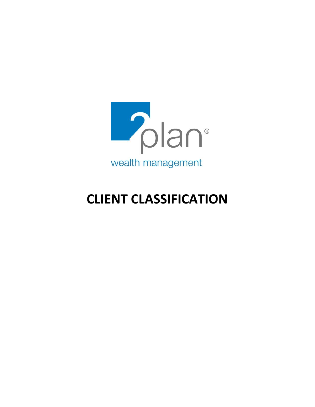

# **CLIENT CLASSIFICATION**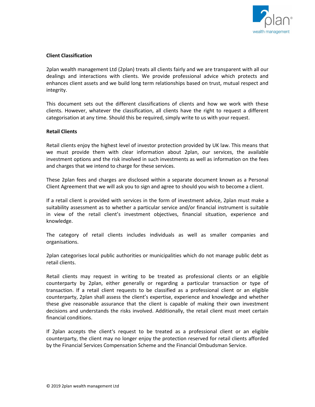

# **Client Classification**

2plan wealth management Ltd (2plan) treats all clients fairly and we are transparent with all our dealings and interactions with clients. We provide professional advice which protects and enhances client assets and we build long term relationships based on trust, mutual respect and integrity.

This document sets out the different classifications of clients and how we work with these clients. However, whatever the classification, all clients have the right to request a different categorisation at any time. Should this be required, simply write to us with your request.

### **Retail Clients**

Retail clients enjoy the highest level of investor protection provided by UK law. This means that we must provide them with clear information about 2plan, our services, the available investment options and the risk involved in such investments as well as information on the fees and charges that we intend to charge for these services.

These 2plan fees and charges are disclosed within a separate document known as a Personal Client Agreement that we will ask you to sign and agree to should you wish to become a client.

If a retail client is provided with services in the form of investment advice, 2plan must make a suitability assessment as to whether a particular service and/or financial instrument is suitable in view of the retail client's investment objectives, financial situation, experience and knowledge.

The category of retail clients includes individuals as well as smaller companies and organisations.

2plan categorises local public authorities or municipalities which do not manage public debt as retail clients.

Retail clients may request in writing to be treated as professional clients or an eligible counterparty by 2plan, either generally or regarding a particular transaction or type of transaction. If a retail client requests to be classified as a professional client or an eligible counterparty, 2plan shall assess the client's expertise, experience and knowledge and whether these give reasonable assurance that the client is capable of making their own investment decisions and understands the risks involved. Additionally, the retail client must meet certain financial conditions.

If 2plan accepts the client's request to be treated as a professional client or an eligible counterparty, the client may no longer enjoy the protection reserved for retail clients afforded by the Financial Services Compensation Scheme and the Financial Ombudsman Service.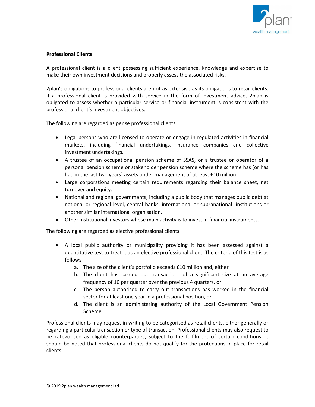

# **Professional Clients**

A professional client is a client possessing sufficient experience, knowledge and expertise to make their own investment decisions and properly assess the associated risks.

2plan's obligations to professional clients are not as extensive as its obligations to retail clients. If a professional client is provided with service in the form of investment advice, 2plan is obligated to assess whether a particular service or financial instrument is consistent with the professional client's investment objectives.

The following are regarded as per se professional clients

- Legal persons who are licensed to operate or engage in regulated activities in financial markets, including financial undertakings, insurance companies and collective investment undertakings.
- A trustee of an occupational pension scheme of SSAS, or a trustee or operator of a personal pension scheme or stakeholder pension scheme where the scheme has (or has had in the last two years) assets under management of at least £10 million.
- Large corporations meeting certain requirements regarding their balance sheet, net turnover and equity.
- National and regional governments, including a public body that manages public debt at national or regional level, central banks, international or supranational institutions or another similar international organisation.
- Other institutional investors whose main activity is to invest in financial instruments.

The following are regarded as elective professional clients

- A local public authority or municipality providing it has been assessed against a quantitative test to treat it as an elective professional client. The criteria of this test is as follows
	- a. The size of the client's portfolio exceeds £10 million and, either
	- b. The client has carried out transactions of a significant size at an average frequency of 10 per quarter over the previous 4 quarters, or
	- c. The person authorised to carry out transactions has worked in the financial sector for at least one year in a professional position, or
	- d. The client is an administering authority of the Local Government Pension Scheme

Professional clients may request in writing to be categorised as retail clients, either generally or regarding a particular transaction or type of transaction. Professional clients may also request to be categorised as eligible counterparties, subject to the fulfilment of certain conditions. It should be noted that professional clients do not qualify for the protections in place for retail clients.